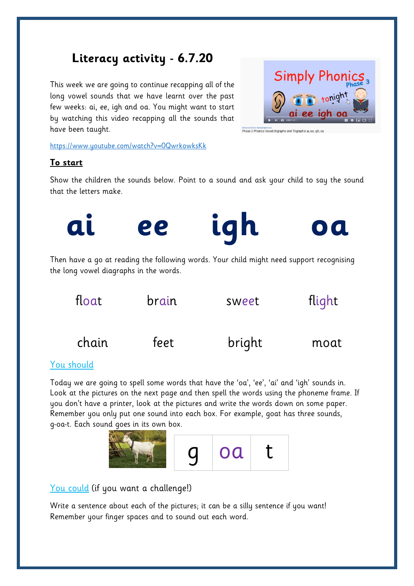## **Literacy activity - 6.7.20**

This week we are going to continue recapping all of the long vowel sounds that we have learnt over the past few weeks: ai, ee, igh and oa. You might want to start by watching this video recapping all the sounds that have been taught.

<https://www.youtube.com/watch?v=0QwrkowksKk>

**Simply Phonics** 

Phase 3 Phonics Vowel Digraphs and Trigraphsl ai, ee, igh, or

## **To start**

Show the children the sounds below. Point to a sound and ask your child to say the sound that the letters make.





## You should

Today we are going to spell some words that have the 'oa', 'ee', 'ai' and 'igh' sounds in. Look at the pictures on the next page and then spell the words using the phoneme frame. If you don't have a printer, look at the pictures and write the words down on some paper. Remember you only put one sound into each box. For example, goat has three sounds, g-oa-t. Each sound goes in its own box.



## You could (if you want a challenge!)

Write a sentence about each of the pictures; it can be a silly sentence if you want! Remember your finger spaces and to sound out each word.